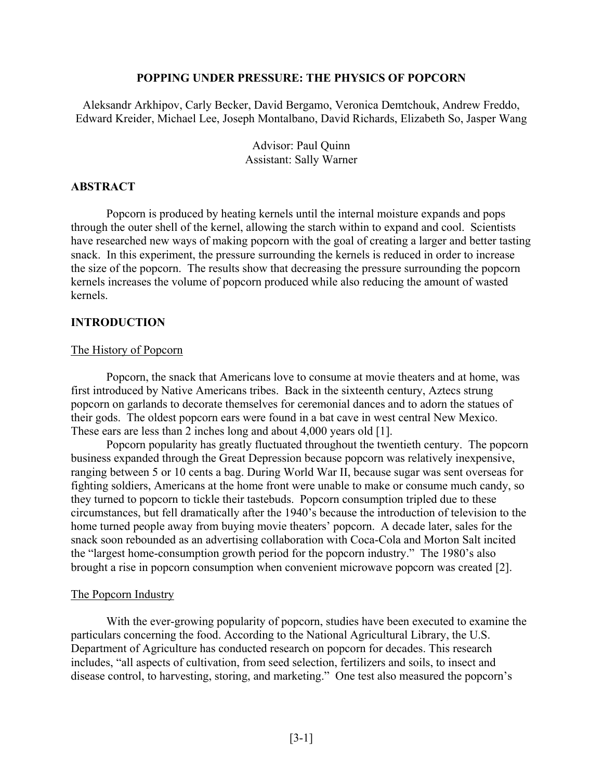### **POPPING UNDER PRESSURE: THE PHYSICS OF POPCORN**

Aleksandr Arkhipov, Carly Becker, David Bergamo, Veronica Demtchouk, Andrew Freddo, Edward Kreider, Michael Lee, Joseph Montalbano, David Richards, Elizabeth So, Jasper Wang

> Advisor: Paul Quinn Assistant: Sally Warner

## **ABSTRACT**

Popcorn is produced by heating kernels until the internal moisture expands and pops through the outer shell of the kernel, allowing the starch within to expand and cool. Scientists have researched new ways of making popcorn with the goal of creating a larger and better tasting snack. In this experiment, the pressure surrounding the kernels is reduced in order to increase the size of the popcorn. The results show that decreasing the pressure surrounding the popcorn kernels increases the volume of popcorn produced while also reducing the amount of wasted kernels.

### **INTRODUCTION**

#### The History of Popcorn

Popcorn, the snack that Americans love to consume at movie theaters and at home, was first introduced by Native Americans tribes. Back in the sixteenth century, Aztecs strung popcorn on garlands to decorate themselves for ceremonial dances and to adorn the statues of their gods. The oldest popcorn ears were found in a bat cave in west central New Mexico. These ears are less than 2 inches long and about 4,000 years old [1].

Popcorn popularity has greatly fluctuated throughout the twentieth century. The popcorn business expanded through the Great Depression because popcorn was relatively inexpensive, ranging between 5 or 10 cents a bag. During World War II, because sugar was sent overseas for fighting soldiers, Americans at the home front were unable to make or consume much candy, so they turned to popcorn to tickle their tastebuds. Popcorn consumption tripled due to these circumstances, but fell dramatically after the 1940's because the introduction of television to the home turned people away from buying movie theaters' popcorn. A decade later, sales for the snack soon rebounded as an advertising collaboration with Coca-Cola and Morton Salt incited the "largest home-consumption growth period for the popcorn industry." The 1980's also brought a rise in popcorn consumption when convenient microwave popcorn was created [2].

#### The Popcorn Industry

With the ever-growing popularity of popcorn, studies have been executed to examine the particulars concerning the food. According to the National Agricultural Library, the U.S. Department of Agriculture has conducted research on popcorn for decades. This research includes, "all aspects of cultivation, from seed selection, fertilizers and soils, to insect and disease control, to harvesting, storing, and marketing." One test also measured the popcorn's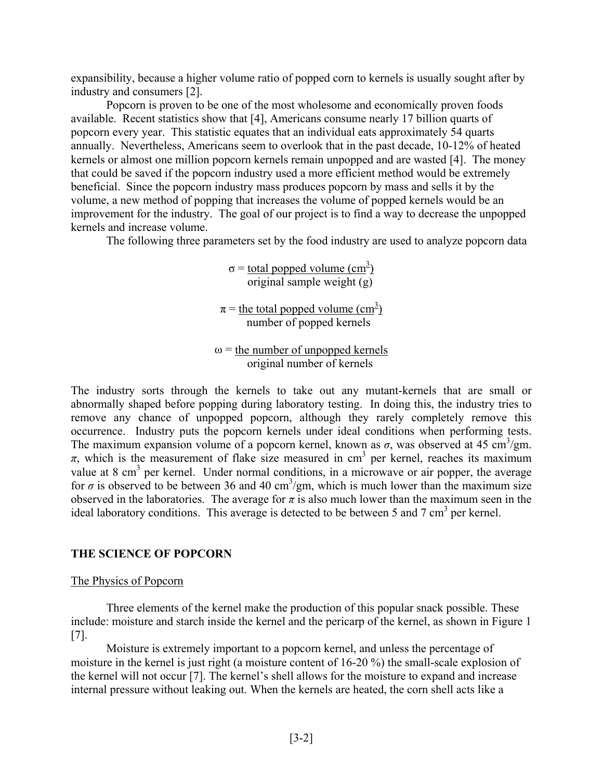expansibility, because a higher volume ratio of popped corn to kernels is usually sought after by industry and consumers [2].

Popcorn is proven to be one of the most wholesome and economically proven foods available. Recent statistics show that [4], Americans consume nearly 17 billion quarts of popcorn every year. This statistic equates that an individual eats approximately 54 quarts annually. Nevertheless, Americans seem to overlook that in the past decade, 10-12% of heated kernels or almost one million popcorn kernels remain unpopped and are wasted [4]. The money that could be saved if the popcorn industry used a more efficient method would be extremely beneficial. Since the popcorn industry mass produces popcorn by mass and sells it by the volume, a new method of popping that increases the volume of popped kernels would be an improvement for the industry. The goal of our project is to find a way to decrease the unpopped kernels and increase volume.

The following three parameters set by the food industry are used to analyze popcorn data

 $\sigma$  = <u>total popped volume (cm<sup>3</sup>)</u> original sample weight (g)

 $\pi$  = the total popped volume (cm<sup>3</sup>) number of popped kernels

 $\omega$  = the number of unpopped kernels original number of kernels

The industry sorts through the kernels to take out any mutant-kernels that are small or abnormally shaped before popping during laboratory testing. In doing this, the industry tries to remove any chance of unpopped popcorn, although they rarely completely remove this occurrence. Industry puts the popcorn kernels under ideal conditions when performing tests. The maximum expansion volume of a popcorn kernel, known as  $\sigma$ , was observed at 45 cm<sup>3</sup>/gm.  $\pi$ , which is the measurement of flake size measured in cm<sup>3</sup> per kernel, reaches its maximum value at 8 cm<sup>3</sup> per kernel. Under normal conditions, in a microwave or air popper, the average for  $\sigma$  is observed to be between 36 and 40 cm<sup>3</sup>/gm, which is much lower than the maximum size observed in the laboratories. The average for  $\pi$  is also much lower than the maximum seen in the ideal laboratory conditions. This average is detected to be between 5 and 7 cm<sup>3</sup> per kernel.

# **THE SCIENCE OF POPCORN**

## The Physics of Popcorn

Three elements of the kernel make the production of this popular snack possible. These include: moisture and starch inside the kernel and the pericarp of the kernel, as shown in Figure 1 [7].

Moisture is extremely important to a popcorn kernel, and unless the percentage of moisture in the kernel is just right (a moisture content of 16-20 %) the small-scale explosion of the kernel will not occur [7]. The kernel's shell allows for the moisture to expand and increase internal pressure without leaking out. When the kernels are heated, the corn shell acts like a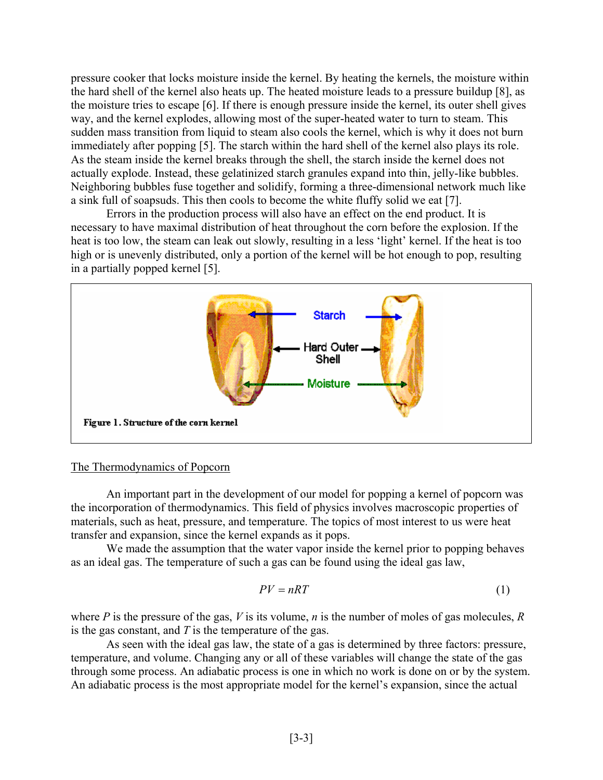pressure cooker that locks moisture inside the kernel. By heating the kernels, the moisture within the hard shell of the kernel also heats up. The heated moisture leads to a pressure buildup [8], as the moisture tries to escape [6]. If there is enough pressure inside the kernel, its outer shell gives way, and the kernel explodes, allowing most of the super-heated water to turn to steam. This sudden mass transition from liquid to steam also cools the kernel, which is why it does not burn immediately after popping [5]. The starch within the hard shell of the kernel also plays its role. As the steam inside the kernel breaks through the shell, the starch inside the kernel does not actually explode. Instead, these gelatinized starch granules expand into thin, jelly-like bubbles. Neighboring bubbles fuse together and solidify, forming a three-dimensional network much like a sink full of soapsuds. This then cools to become the white fluffy solid we eat [7].

Errors in the production process will also have an effect on the end product. It is necessary to have maximal distribution of heat throughout the corn before the explosion. If the heat is too low, the steam can leak out slowly, resulting in a less 'light' kernel. If the heat is too high or is unevenly distributed, only a portion of the kernel will be hot enough to pop, resulting in a partially popped kernel [5].



#### The Thermodynamics of Popcorn

An important part in the development of our model for popping a kernel of popcorn was the incorporation of thermodynamics. This field of physics involves macroscopic properties of materials, such as heat, pressure, and temperature. The topics of most interest to us were heat transfer and expansion, since the kernel expands as it pops.

We made the assumption that the water vapor inside the kernel prior to popping behaves as an ideal gas. The temperature of such a gas can be found using the ideal gas law,

$$
PV = nRT \tag{1}
$$

where *P* is the pressure of the gas, *V* is its volume, *n* is the number of moles of gas molecules, *R* is the gas constant, and *T* is the temperature of the gas.

As seen with the ideal gas law, the state of a gas is determined by three factors: pressure, temperature, and volume. Changing any or all of these variables will change the state of the gas through some process. An adiabatic process is one in which no work is done on or by the system. An adiabatic process is the most appropriate model for the kernel's expansion, since the actual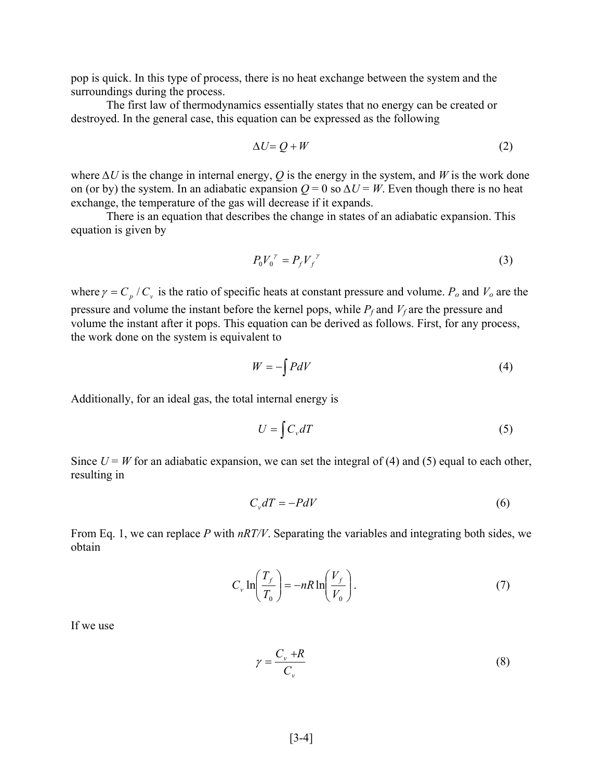pop is quick. In this type of process, there is no heat exchange between the system and the surroundings during the process.

The first law of thermodynamics essentially states that no energy can be created or destroyed. In the general case, this equation can be expressed as the following

$$
\Delta U = Q + W \tag{2}
$$

where *∆U* is the change in internal energy, *Q* is the energy in the system, and *W* is the work done on (or by) the system. In an adiabatic expansion  $Q = 0$  so  $\Delta U = W$ . Even though there is no heat exchange, the temperature of the gas will decrease if it expands.

There is an equation that describes the change in states of an adiabatic expansion. This equation is given by

$$
P_0V_0^{\ \gamma} = P_fV_f^{\ \gamma} \tag{3}
$$

where  $\gamma = C_p / C_v$  is the ratio of specific heats at constant pressure and volume.  $P_o$  and  $V_o$  are the pressure and volume the instant before the kernel pops, while  $P_f$  and  $V_f$  are the pressure and volume the instant after it pops. This equation can be derived as follows. First, for any process, the work done on the system is equivalent to

$$
W = -\int P dV \tag{4}
$$

Additionally, for an ideal gas, the total internal energy is

$$
U = \int C_v dT \tag{5}
$$

Since  $U = W$  for an adiabatic expansion, we can set the integral of (4) and (5) equal to each other, resulting in

$$
C_v dT = -P dV \tag{6}
$$

From Eq. 1, we can replace *P* with *nRT/V*. Separating the variables and integrating both sides, we obtain

$$
C_{v} \ln\left(\frac{T_{f}}{T_{0}}\right) = -nR \ln\left(\frac{V_{f}}{V_{0}}\right). \tag{7}
$$

If we use

$$
\gamma = \frac{C_v + R}{C_v} \tag{8}
$$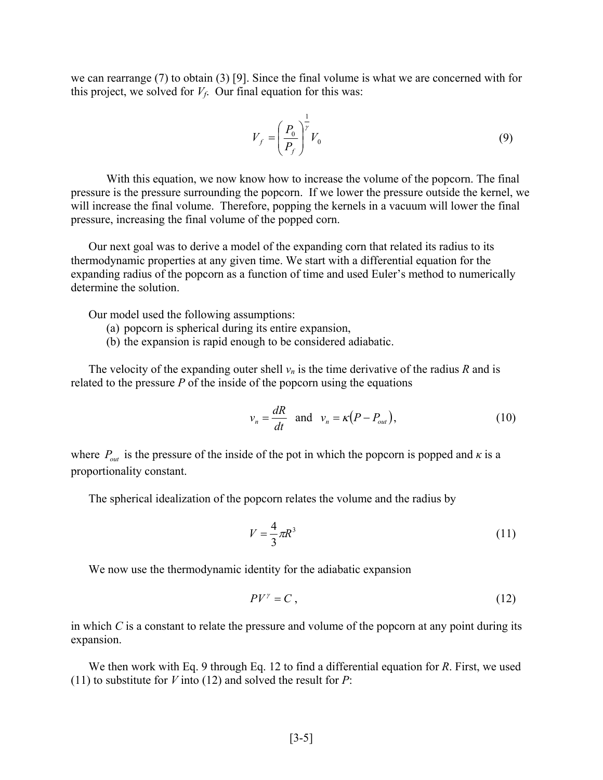we can rearrange (7) to obtain (3) [9]. Since the final volume is what we are concerned with for this project, we solved for  $V_f$ . Our final equation for this was:

$$
V_f = \left(\frac{P_0}{P_f}\right)^{\frac{1}{r}} V_0 \tag{9}
$$

With this equation, we now know how to increase the volume of the popcorn. The final pressure is the pressure surrounding the popcorn. If we lower the pressure outside the kernel, we will increase the final volume. Therefore, popping the kernels in a vacuum will lower the final pressure, increasing the final volume of the popped corn.

Our next goal was to derive a model of the expanding corn that related its radius to its thermodynamic properties at any given time. We start with a differential equation for the expanding radius of the popcorn as a function of time and used Euler's method to numerically determine the solution.

Our model used the following assumptions:

- (a) popcorn is spherical during its entire expansion,
- (b) the expansion is rapid enough to be considered adiabatic.

The velocity of the expanding outer shell  $v_n$  is the time derivative of the radius *R* and is related to the pressure *P* of the inside of the popcorn using the equations

$$
v_n = \frac{dR}{dt} \quad \text{and} \quad v_n = \kappa (P - P_{out}), \tag{10}
$$

where  $P_{out}$  is the pressure of the inside of the pot in which the popcorn is popped and  $\kappa$  is a proportionality constant.

The spherical idealization of the popcorn relates the volume and the radius by

$$
V = \frac{4}{3}\pi R^3\tag{11}
$$

We now use the thermodynamic identity for the adiabatic expansion

$$
PV^{\gamma} = C \tag{12}
$$

in which *C* is a constant to relate the pressure and volume of the popcorn at any point during its expansion.

We then work with Eq. 9 through Eq. 12 to find a differential equation for *R*. First, we used (11) to substitute for *V* into (12) and solved the result for *P*: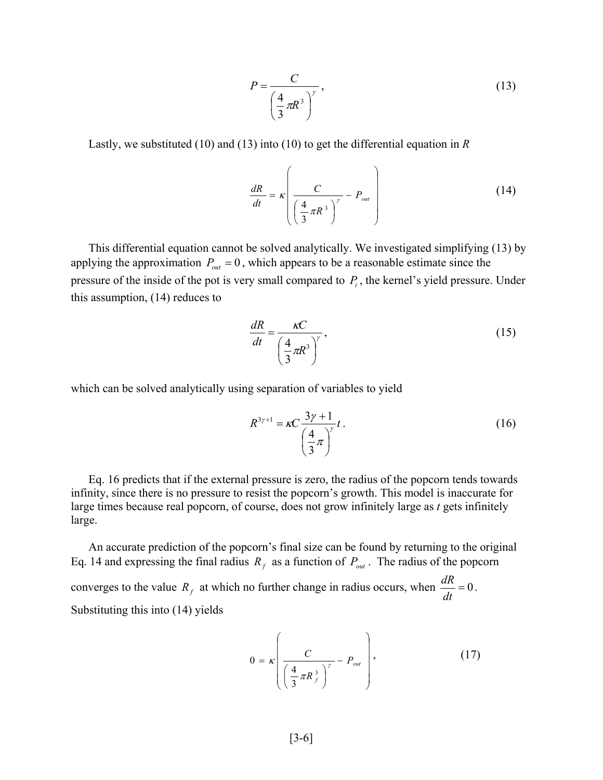$$
P = \frac{C}{\left(\frac{4}{3}\pi R^3\right)^{\gamma}},\tag{13}
$$

Lastly, we substituted (10) and (13) into (10) to get the differential equation in *R*

$$
\frac{dR}{dt} = \kappa \left( \frac{C}{\left(\frac{4}{3}\pi R^3\right)^{\gamma}} - P_{out} \right)
$$
 (14)

This differential equation cannot be solved analytically. We investigated simplifying (13) by applying the approximation  $P_{out} = 0$ , which appears to be a reasonable estimate since the pressure of the inside of the pot is very small compared to  $P_i$ , the kernel's yield pressure. Under this assumption, (14) reduces to

$$
\frac{dR}{dt} = \frac{\kappa C}{\left(\frac{4}{3}\pi R^3\right)^{\gamma}},\tag{15}
$$

which can be solved analytically using separation of variables to yield

$$
R^{3\gamma+1} = \kappa C \frac{3\gamma+1}{\left(\frac{4}{3}\pi\right)^{\gamma}} t \,. \tag{16}
$$

Eq. 16 predicts that if the external pressure is zero, the radius of the popcorn tends towards infinity, since there is no pressure to resist the popcorn's growth. This model is inaccurate for large times because real popcorn, of course, does not grow infinitely large as *t* gets infinitely large.

An accurate prediction of the popcorn's final size can be found by returning to the original Eq. 14 and expressing the final radius  $R_f$  as a function of  $P_{out}$ . The radius of the popcorn converges to the value  $R_f$  at which no further change in radius occurs, when  $\frac{dR}{dt} = 0$  $\frac{dR}{dt} = 0$ . Substituting this into (14) yields

$$
0 = \kappa \left( \frac{C}{\left(\frac{4}{3}\pi R_f^3\right)^{\gamma}} - P_{out} \right), \qquad (17)
$$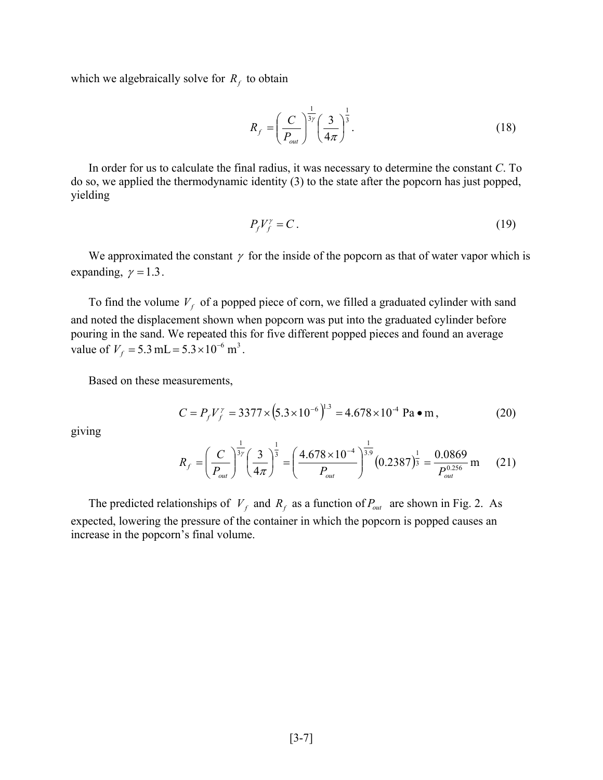which we algebraically solve for  $R_f$  to obtain

$$
R_f = \left(\frac{C}{P_{out}}\right)^{\frac{1}{3\gamma}} \left(\frac{3}{4\pi}\right)^{\frac{1}{3}}.
$$
\n(18)

In order for us to calculate the final radius, it was necessary to determine the constant *C*. To do so, we applied the thermodynamic identity (3) to the state after the popcorn has just popped, yielding

$$
P_f V_f^{\gamma} = C \,. \tag{19}
$$

We approximated the constant  $\gamma$  for the inside of the popcorn as that of water vapor which is expanding,  $\gamma = 1.3$ .

To find the volume  $V_f$  of a popped piece of corn, we filled a graduated cylinder with sand and noted the displacement shown when popcorn was put into the graduated cylinder before pouring in the sand. We repeated this for five different popped pieces and found an average value of  $V_f = 5.3$  mL =  $5.3 \times 10^{-6}$  m<sup>3</sup>.

Based on these measurements,

$$
C = P_f V_f^{\gamma} = 3377 \times (5.3 \times 10^{-6})^{1.3} = 4.678 \times 10^{-4} \text{ Pa} \cdot \text{m},\tag{20}
$$

giving

$$
R_{f} = \left(\frac{C}{P_{out}}\right)^{\frac{1}{3\gamma}} \left(\frac{3}{4\pi}\right)^{\frac{1}{3}} = \left(\frac{4.678 \times 10^{-4}}{P_{out}}\right)^{\frac{1}{3.9}} (0.2387)^{\frac{1}{3}} = \frac{0.0869}{P_{out}^{0.256}} \text{ m}
$$
 (21)

The predicted relationships of  $V_f$  and  $R_f$  as a function of  $P_{out}$  are shown in Fig. 2. As expected, lowering the pressure of the container in which the popcorn is popped causes an increase in the popcorn's final volume.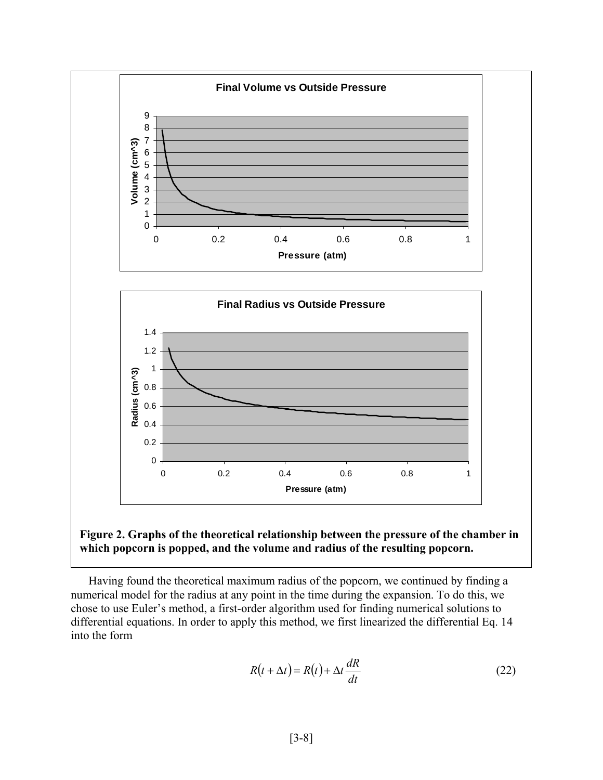



Having found the theoretical maximum radius of the popcorn, we continued by finding a numerical model for the radius at any point in the time during the expansion. To do this, we chose to use Euler's method, a first-order algorithm used for finding numerical solutions to differential equations. In order to apply this method, we first linearized the differential Eq. 14 into the form

$$
R(t + \Delta t) = R(t) + \Delta t \frac{dR}{dt}
$$
\n(22)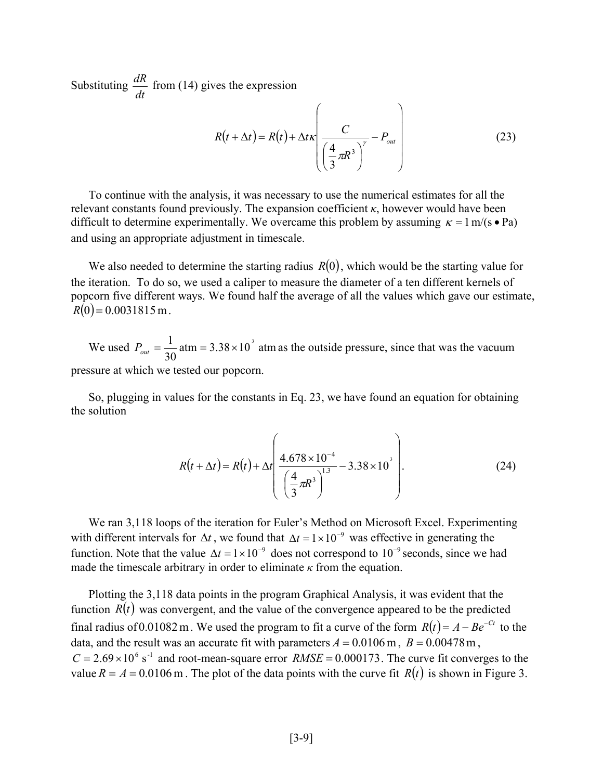Substituting  $\frac{dR}{dt}$  from (14) gives the expression

$$
R(t + \Delta t) = R(t) + \Delta t \kappa \left( \frac{C}{\left(\frac{4}{3}\pi R^3\right)^{\gamma}} - P_{out} \right)
$$
 (23)

To continue with the analysis, it was necessary to use the numerical estimates for all the relevant constants found previously. The expansion coefficient  $\kappa$ , however would have been difficult to determine experimentally. We overcame this problem by assuming  $\kappa = 1$  m/(s • Pa) and using an appropriate adjustment in timescale.

We also needed to determine the starting radius *R*(0), which would be the starting value for the iteration. To do so, we used a caliper to measure the diameter of a ten different kernels of popcorn five different ways. We found half the average of all the values which gave our estimate,  $R(0) = 0.0031815 \,\text{m}$ .

We used  $P_{out} = \frac{1}{20}$  atm = 3.38 × 10<sup>'</sup> atm 30  $P_{out} = \frac{1}{20}$  atm = 3.38 × 10<sup>3</sup> atm as the outside pressure, since that was the vacuum pressure at which we tested our popcorn.

So, plugging in values for the constants in Eq. 23, we have found an equation for obtaining the solution

$$
R(t + \Delta t) = R(t) + \Delta t \left( \frac{4.678 \times 10^{-4}}{\left(\frac{4}{3}\pi R^3\right)^{1.3}} - 3.38 \times 10^3 \right). \tag{24}
$$

We ran 3,118 loops of the iteration for Euler's Method on Microsoft Excel. Experimenting with different intervals for  $\Delta t$ , we found that  $\Delta t = 1 \times 10^{-9}$  was effective in generating the function. Note that the value  $\Delta t = 1 \times 10^{-9}$  does not correspond to 10<sup>-9</sup> seconds, since we had made the timescale arbitrary in order to eliminate  $\kappa$  from the equation.

Plotting the 3,118 data points in the program Graphical Analysis, it was evident that the function  $R(t)$  was convergent, and the value of the convergence appeared to be the predicted final radius of 0.01082 m. We used the program to fit a curve of the form  $R(t) = A - Be^{-Ct}$  to the data, and the result was an accurate fit with parameters  $A = 0.0106$  m,  $B = 0.00478$  m,  $C = 2.69 \times 10^6$  s<sup>-1</sup> and root-mean-square error *RMSE* = 0.000173. The curve fit converges to the value  $R = A = 0.0106$  m. The plot of the data points with the curve fit  $R(t)$  is shown in Figure 3.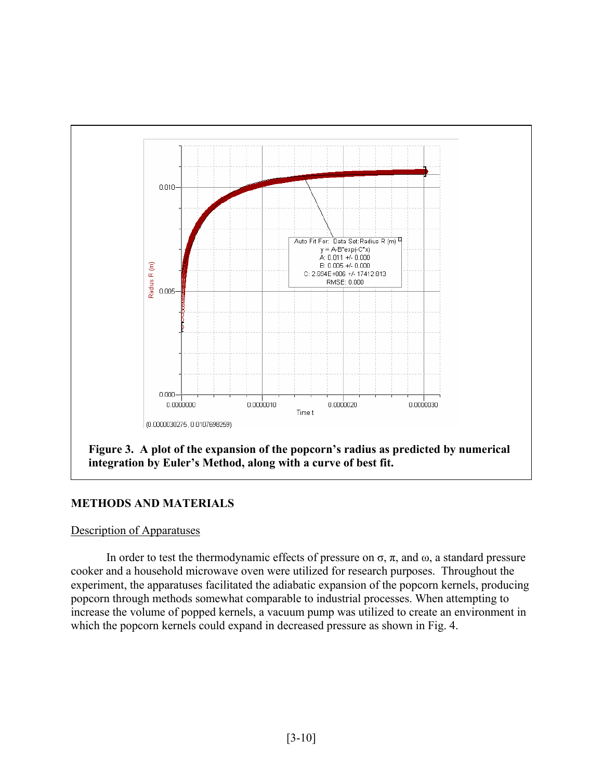

# **METHODS AND MATERIALS**

## Description of Apparatuses

In order to test the thermodynamic effects of pressure on  $\sigma$ ,  $\pi$ , and  $\omega$ , a standard pressure cooker and a household microwave oven were utilized for research purposes. Throughout the experiment, the apparatuses facilitated the adiabatic expansion of the popcorn kernels, producing popcorn through methods somewhat comparable to industrial processes. When attempting to increase the volume of popped kernels, a vacuum pump was utilized to create an environment in which the popcorn kernels could expand in decreased pressure as shown in Fig. 4.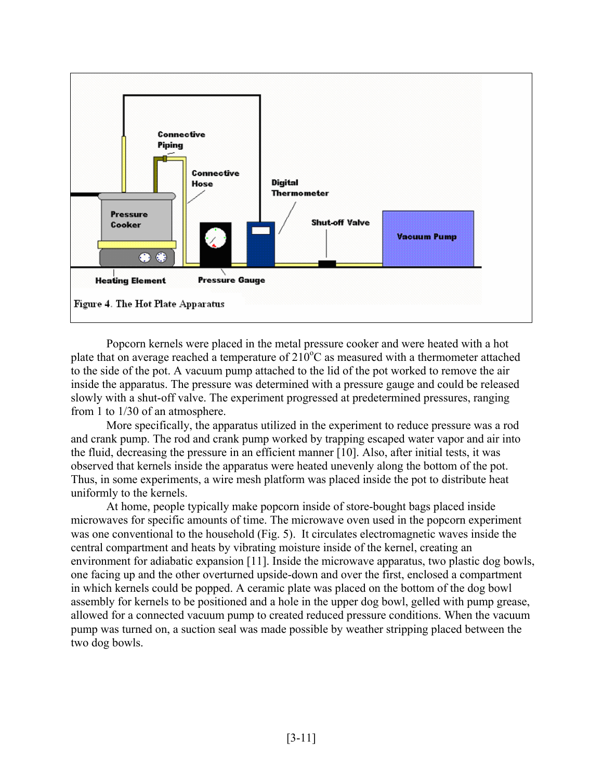

Popcorn kernels were placed in the metal pressure cooker and were heated with a hot plate that on average reached a temperature of  $210^{\circ}$ C as measured with a thermometer attached to the side of the pot. A vacuum pump attached to the lid of the pot worked to remove the air inside the apparatus. The pressure was determined with a pressure gauge and could be released slowly with a shut-off valve. The experiment progressed at predetermined pressures, ranging from 1 to 1/30 of an atmosphere.

More specifically, the apparatus utilized in the experiment to reduce pressure was a rod and crank pump. The rod and crank pump worked by trapping escaped water vapor and air into the fluid, decreasing the pressure in an efficient manner [10]. Also, after initial tests, it was observed that kernels inside the apparatus were heated unevenly along the bottom of the pot. Thus, in some experiments, a wire mesh platform was placed inside the pot to distribute heat uniformly to the kernels.

At home, people typically make popcorn inside of store-bought bags placed inside microwaves for specific amounts of time. The microwave oven used in the popcorn experiment was one conventional to the household (Fig. 5). It circulates electromagnetic waves inside the central compartment and heats by vibrating moisture inside of the kernel, creating an environment for adiabatic expansion [11]. Inside the microwave apparatus, two plastic dog bowls, one facing up and the other overturned upside-down and over the first, enclosed a compartment in which kernels could be popped. A ceramic plate was placed on the bottom of the dog bowl assembly for kernels to be positioned and a hole in the upper dog bowl, gelled with pump grease, allowed for a connected vacuum pump to created reduced pressure conditions. When the vacuum pump was turned on, a suction seal was made possible by weather stripping placed between the two dog bowls.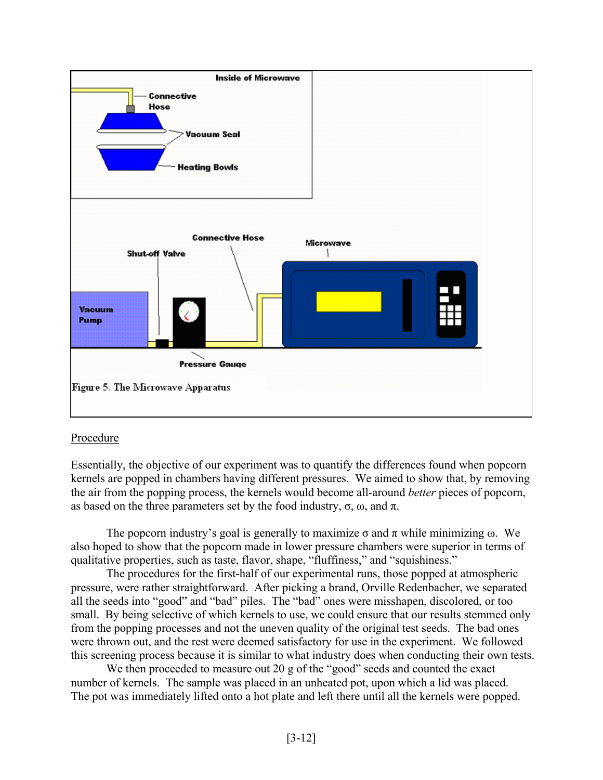

# Procedure

Essentially, the objective of our experiment was to quantify the differences found when popcorn kernels are popped in chambers having different pressures. We aimed to show that, by removing the air from the popping process, the kernels would become all-around *better* pieces of popcorn, as based on the three parameters set by the food industry,  $\sigma$ ,  $\omega$ , and π.

The popcorn industry's goal is generally to maximize  $\sigma$  and  $\pi$  while minimizing  $\omega$ . We also hoped to show that the popcorn made in lower pressure chambers were superior in terms of qualitative properties, such as taste, flavor, shape, "fluffiness," and "squishiness."

The procedures for the first-half of our experimental runs, those popped at atmospheric pressure, were rather straightforward. After picking a brand, Orville Redenbacher, we separated all the seeds into "good" and "bad" piles. The "bad" ones were misshapen, discolored, or too small. By being selective of which kernels to use, we could ensure that our results stemmed only from the popping processes and not the uneven quality of the original test seeds. The bad ones were thrown out, and the rest were deemed satisfactory for use in the experiment. We followed this screening process because it is similar to what industry does when conducting their own tests.

We then proceeded to measure out 20 g of the "good" seeds and counted the exact number of kernels. The sample was placed in an unheated pot, upon which a lid was placed. The pot was immediately lifted onto a hot plate and left there until all the kernels were popped.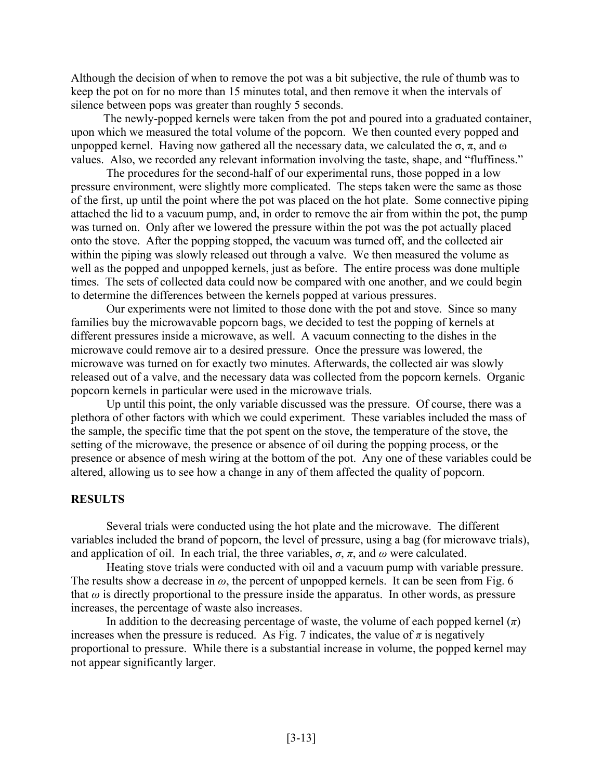Although the decision of when to remove the pot was a bit subjective, the rule of thumb was to keep the pot on for no more than 15 minutes total, and then remove it when the intervals of silence between pops was greater than roughly 5 seconds.

The newly-popped kernels were taken from the pot and poured into a graduated container, upon which we measured the total volume of the popcorn. We then counted every popped and unpopped kernel. Having now gathered all the necessary data, we calculated the σ, π, and ω values. Also, we recorded any relevant information involving the taste, shape, and "fluffiness."

The procedures for the second-half of our experimental runs, those popped in a low pressure environment, were slightly more complicated. The steps taken were the same as those of the first, up until the point where the pot was placed on the hot plate. Some connective piping attached the lid to a vacuum pump, and, in order to remove the air from within the pot, the pump was turned on. Only after we lowered the pressure within the pot was the pot actually placed onto the stove. After the popping stopped, the vacuum was turned off, and the collected air within the piping was slowly released out through a valve. We then measured the volume as well as the popped and unpopped kernels, just as before. The entire process was done multiple times. The sets of collected data could now be compared with one another, and we could begin to determine the differences between the kernels popped at various pressures.

Our experiments were not limited to those done with the pot and stove. Since so many families buy the microwavable popcorn bags, we decided to test the popping of kernels at different pressures inside a microwave, as well. A vacuum connecting to the dishes in the microwave could remove air to a desired pressure. Once the pressure was lowered, the microwave was turned on for exactly two minutes. Afterwards, the collected air was slowly released out of a valve, and the necessary data was collected from the popcorn kernels. Organic popcorn kernels in particular were used in the microwave trials.

Up until this point, the only variable discussed was the pressure. Of course, there was a plethora of other factors with which we could experiment. These variables included the mass of the sample, the specific time that the pot spent on the stove, the temperature of the stove, the setting of the microwave, the presence or absence of oil during the popping process, or the presence or absence of mesh wiring at the bottom of the pot. Any one of these variables could be altered, allowing us to see how a change in any of them affected the quality of popcorn.

## **RESULTS**

Several trials were conducted using the hot plate and the microwave. The different variables included the brand of popcorn, the level of pressure, using a bag (for microwave trials), and application of oil. In each trial, the three variables,  $\sigma$ ,  $\pi$ , and  $\omega$  were calculated.

Heating stove trials were conducted with oil and a vacuum pump with variable pressure. The results show a decrease in *ω*, the percent of unpopped kernels. It can be seen from Fig. 6 that  $\omega$  is directly proportional to the pressure inside the apparatus. In other words, as pressure increases, the percentage of waste also increases.

In addition to the decreasing percentage of waste, the volume of each popped kernel  $(\pi)$ increases when the pressure is reduced. As Fig. 7 indicates, the value of  $\pi$  is negatively proportional to pressure. While there is a substantial increase in volume, the popped kernel may not appear significantly larger.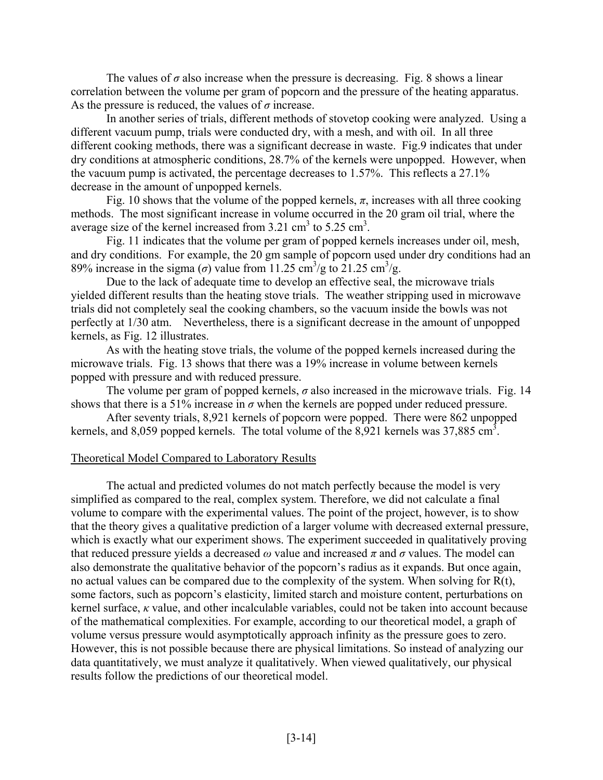The values of  $\sigma$  also increase when the pressure is decreasing. Fig. 8 shows a linear correlation between the volume per gram of popcorn and the pressure of the heating apparatus. As the pressure is reduced, the values of  $\sigma$  increase.

In another series of trials, different methods of stovetop cooking were analyzed. Using a different vacuum pump, trials were conducted dry, with a mesh, and with oil. In all three different cooking methods, there was a significant decrease in waste. Fig.9 indicates that under dry conditions at atmospheric conditions, 28.7% of the kernels were unpopped. However, when the vacuum pump is activated, the percentage decreases to 1.57%. This reflects a 27.1% decrease in the amount of unpopped kernels.

Fig. 10 shows that the volume of the popped kernels,  $\pi$ , increases with all three cooking methods. The most significant increase in volume occurred in the 20 gram oil trial, where the average size of the kernel increased from  $3.21 \text{ cm}^3$  to  $5.25 \text{ cm}^3$ .

Fig. 11 indicates that the volume per gram of popped kernels increases under oil, mesh, and dry conditions. For example, the 20 gm sample of popcorn used under dry conditions had an 89% increase in the sigma ( $\sigma$ ) value from 11.25 cm<sup>3</sup>/g to 21.25 cm<sup>3</sup>/g.

Due to the lack of adequate time to develop an effective seal, the microwave trials yielded different results than the heating stove trials. The weather stripping used in microwave trials did not completely seal the cooking chambers, so the vacuum inside the bowls was not perfectly at 1/30 atm. Nevertheless, there is a significant decrease in the amount of unpopped kernels, as Fig. 12 illustrates.

As with the heating stove trials, the volume of the popped kernels increased during the microwave trials. Fig. 13 shows that there was a 19% increase in volume between kernels popped with pressure and with reduced pressure.

The volume per gram of popped kernels,  $\sigma$  also increased in the microwave trials. Fig. 14 shows that there is a 51% increase in  $\sigma$  when the kernels are popped under reduced pressure.

After seventy trials, 8,921 kernels of popcorn were popped. There were 862 unpopped kernels, and 8,059 popped kernels. The total volume of the 8,921 kernels was 37,885 cm<sup>3</sup>.

#### Theoretical Model Compared to Laboratory Results

The actual and predicted volumes do not match perfectly because the model is very simplified as compared to the real, complex system. Therefore, we did not calculate a final volume to compare with the experimental values. The point of the project, however, is to show that the theory gives a qualitative prediction of a larger volume with decreased external pressure, which is exactly what our experiment shows. The experiment succeeded in qualitatively proving that reduced pressure yields a decreased  $\omega$  value and increased  $\pi$  and  $\sigma$  values. The model can also demonstrate the qualitative behavior of the popcorn's radius as it expands. But once again, no actual values can be compared due to the complexity of the system. When solving for R(t), some factors, such as popcorn's elasticity, limited starch and moisture content, perturbations on kernel surface, *κ* value, and other incalculable variables, could not be taken into account because of the mathematical complexities. For example, according to our theoretical model, a graph of volume versus pressure would asymptotically approach infinity as the pressure goes to zero. However, this is not possible because there are physical limitations. So instead of analyzing our data quantitatively, we must analyze it qualitatively. When viewed qualitatively, our physical results follow the predictions of our theoretical model.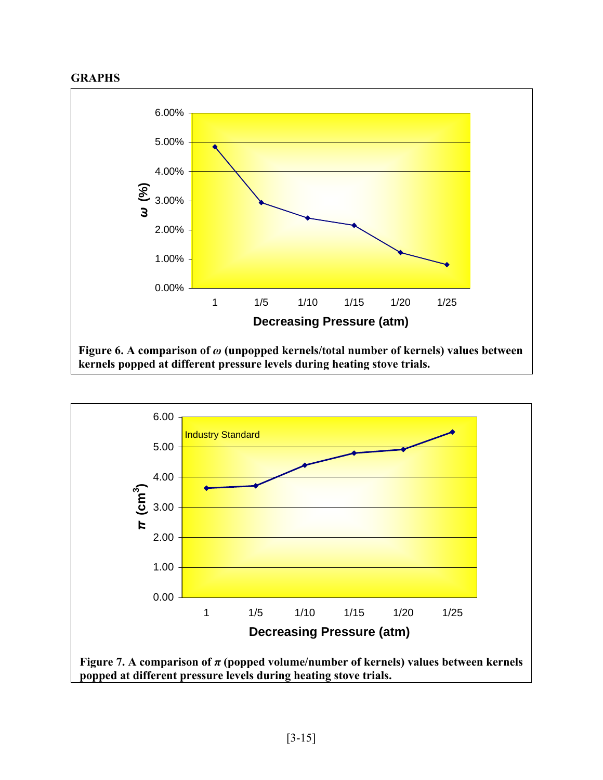



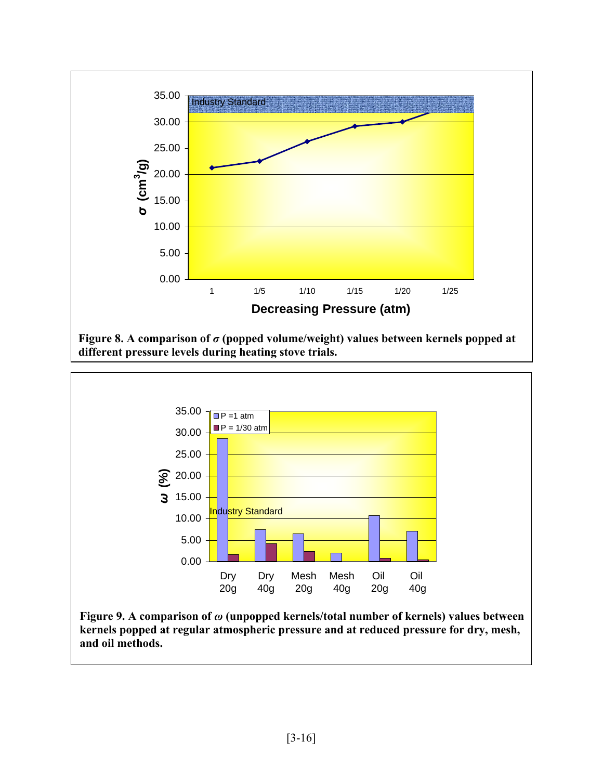





**Figure 9. A comparison of** *ω* **(unpopped kernels/total number of kernels) values between kernels popped at regular atmospheric pressure and at reduced pressure for dry, mesh, and oil methods.**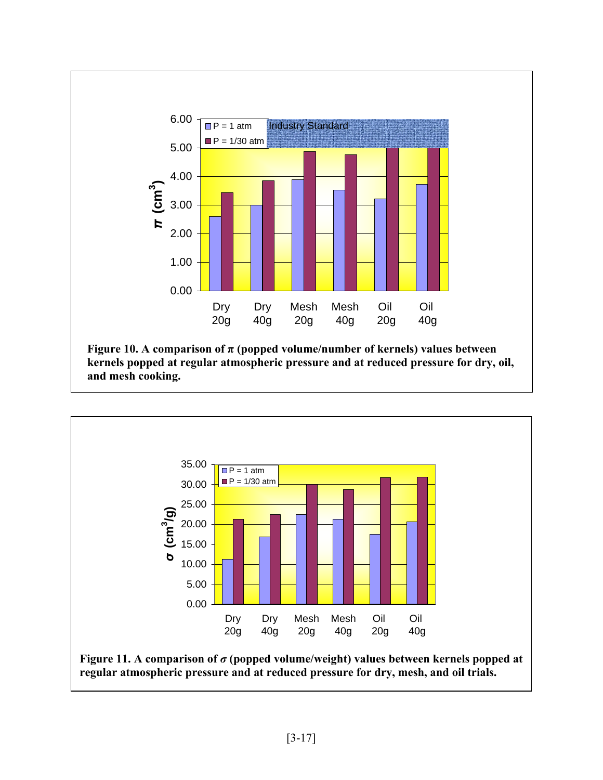



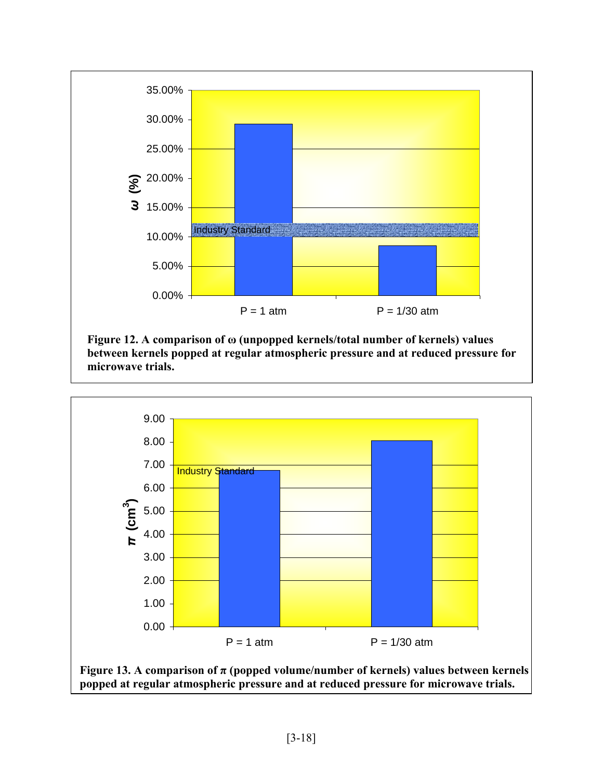

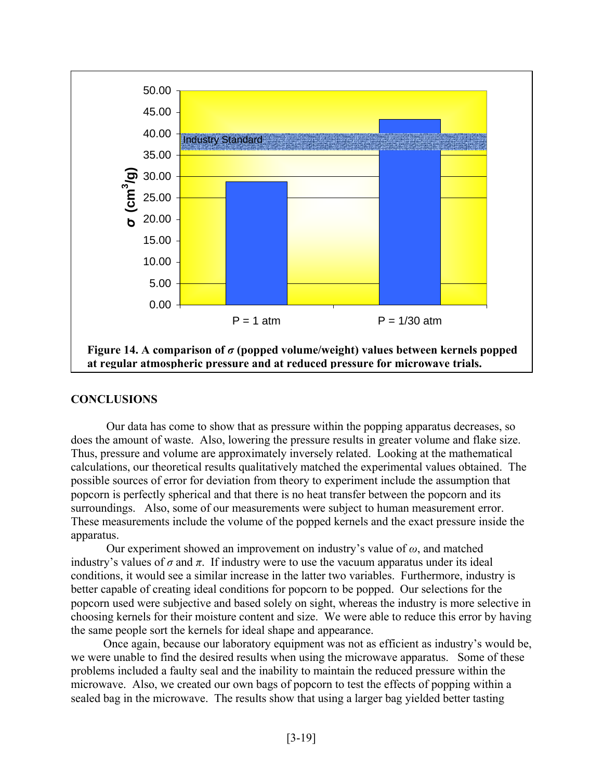

## **CONCLUSIONS**

Our data has come to show that as pressure within the popping apparatus decreases, so does the amount of waste. Also, lowering the pressure results in greater volume and flake size. Thus, pressure and volume are approximately inversely related. Looking at the mathematical calculations, our theoretical results qualitatively matched the experimental values obtained. The possible sources of error for deviation from theory to experiment include the assumption that popcorn is perfectly spherical and that there is no heat transfer between the popcorn and its surroundings. Also, some of our measurements were subject to human measurement error. These measurements include the volume of the popped kernels and the exact pressure inside the apparatus.

Our experiment showed an improvement on industry's value of *ω*, and matched industry's values of  $\sigma$  and  $\pi$ . If industry were to use the vacuum apparatus under its ideal conditions, it would see a similar increase in the latter two variables. Furthermore, industry is better capable of creating ideal conditions for popcorn to be popped. Our selections for the popcorn used were subjective and based solely on sight, whereas the industry is more selective in choosing kernels for their moisture content and size. We were able to reduce this error by having the same people sort the kernels for ideal shape and appearance.

Once again, because our laboratory equipment was not as efficient as industry's would be, we were unable to find the desired results when using the microwave apparatus. Some of these problems included a faulty seal and the inability to maintain the reduced pressure within the microwave. Also, we created our own bags of popcorn to test the effects of popping within a sealed bag in the microwave. The results show that using a larger bag yielded better tasting